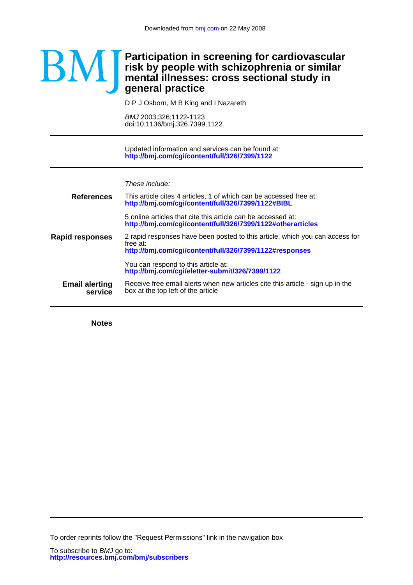## **general practice mental illnesses: cross sectional study in risk by people with schizophrenia or similar Participation in screening for cardiovascular**

D P J Osborn, M B King and I Nazareth Ĭ

doi:10.1136/bmj.326.7399.1122 BMJ 2003;326;1122-1123

**<http://bmj.com/cgi/content/full/326/7399/1122>** Updated information and services can be found at:

These include:

| This article cites 4 articles, 1 of which can be accessed free at:<br>http://bmj.com/cgi/content/full/326/7399/1122#BIBL                            |
|-----------------------------------------------------------------------------------------------------------------------------------------------------|
| 5 online articles that cite this article can be accessed at:<br>http://bmj.com/cgi/content/full/326/7399/1122#otherarticles                         |
| 2 rapid responses have been posted to this article, which you can access for<br>free at:<br>http://bmj.com/cgi/content/full/326/7399/1122#responses |
| You can respond to this article at:<br>http://bmj.com/cgi/eletter-submit/326/7399/1122                                                              |
| Receive free email alerts when new articles cite this article - sign up in the<br>box at the top left of the article                                |
|                                                                                                                                                     |

**Notes**

To order reprints follow the "Request Permissions" link in the navigation box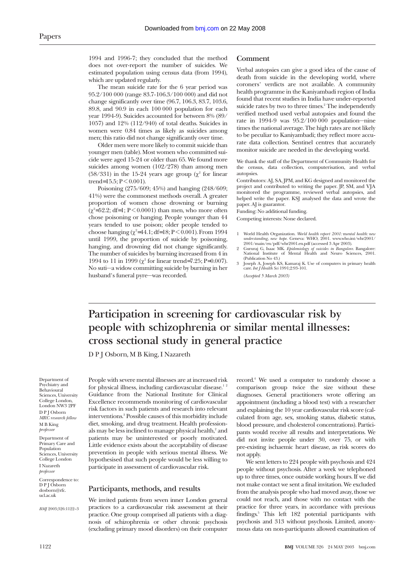1994 and 1996-7; they concluded that the method does not over-report the number of suicides. We estimated population using census data (from 1994), which are updated regularly.

The mean suicide rate for the 6 year period was 95.2/100 000 (range 83.7-106.3/100 000) and did not change significantly over time (96.7, 106.3, 83.7, 103.6, 89.8, and 90.9 in each 100 000 population for each year 1994-9). Suicides accounted for between 8% (89/ 1057) and 12% (112/940) of total deaths. Suicides in women were 0.84 times as likely as suicides among men; this ratio did not change significantly over time.

Older men were more likely to commit suicide than younger men (table). Most women who committed suicide were aged 15-24 or older than 65. We found more suicides among women (102/278) than among men (58/331) in the 15-24 years age group ( $\chi^2$  for linear trend=15.5;  $P < 0.001$ ).

Poisoning (275/609; 45%) and hanging (248/609; 41%) were the commonest methods overall. A greater proportion of women chose drowning or burning  $(\chi^2 = 52.2; df = 1; P < 0.0001)$  than men, who more often chose poisoning or hanging. People younger than 44 years tended to use poison; older people tended to choose hanging ( $\chi^2$ =44.1; df=18; P < 0.001). From 1994 until 1999, the proportion of suicide by poisoning, hanging, and drowning did not change significantly. The number of suicides by burning increased from 4 in 1994 to 11 in 1999 ( $\chi^2$  for linear trend=7.25; P=0.007). No suti—a widow committing suicide by burning in her husband's funeral pyre—was recorded.

#### **Comment**

Verbal autopsies can give a good idea of the cause of death from suicide in the developing world, where coroners' verdicts are not available. A community health programme in the Kaniyambadi region of India found that recent studies in India have under-reported suicide rates by two to three times.<sup>2</sup> The independently verified method used verbal autopsies and found the rate in 1994-9 was 95.2/100 000 population—nine times the national average. The high rates are not likely to be peculiar to Kaniyambadi; they reflect more accurate data collection. Sentinel centres that accurately monitor suicide are needed in the developing world.

We thank the staff of the Department of Community Health for the census, data collection, computerisation, and verbal autopsies.

Contributors: AJ, SA, JPM, and KG designed and monitored the project and contributed to writing the paper. JP, SM, and VJA monitored the programme, reviewed verbal autopsies, and helped write the paper. KSJ analysed the data and wrote the paper. AJ is guarantor.

Funding: No additional funding.

Competing interests: None declared.

- 1 World Health Organization. *World health report 2001:* m*ental health: new understanding, new hope*. Geneva: WHO, 2001. www.who.int/whr2001/ 2001/main/en/pdf/whr2001.en.pdf (accessed 3 Apr 2003).
- 2 Gururaj G, Isaac MK. *Epidemiology of suicides in Bangalore*. Bangalore: National Institute of Mental Health and Neuro Sciences, 2001. (Publication No 43.)
- 3 Joseph A, Joseph KS, Kamaraj K. Use of computers in primary health care. *Int J Health Sci* 1991;2:93-101.

*(Accepted 5 March 2003)*

# **Participation in screening for cardiovascular risk by people with schizophrenia or similar mental illnesses: cross sectional study in general practice**

D P J Osborn, M B King, I Nazareth

Department of Psychiatry and Behavioural Sciences, University College London, London NW3 2PF D P J Osborn *MRC research fellow* M B King *professor* Department of Primary Care and Population Sciences, University College London I Nazareth *professor*

Correspondence to: D P J Osborn dosborn@rfc. ucl.ac.uk

*BMJ* 2003;326:1122–3

People with severe mental illnesses are at increased risk for physical illness, including cardiovascular disease.<sup>12</sup> Guidance from the National Institute for Clinical Excellence recommends monitoring of cardiovascular risk factors in such patients and research into relevant interventions.3 Possible causes of this morbidity include diet, smoking, and drug treatment. Health professionals may be less inclined to manage physical health,<sup>2</sup> and patients may be uninterested or poorly motivated. Little evidence exists about the acceptability of disease prevention in people with serious mental illness. We hypothesised that such people would be less willing to participate in assessment of cardiovascular risk.

#### **Participants, methods, and results**

We invited patients from seven inner London general practices to a cardiovascular risk assessment at their practice. One group comprised all patients with a diagnosis of schizophrenia or other chronic psychosis (excluding primary mood disorders) on their computer record.4 We used a computer to randomly choose a comparison group twice the size without these diagnoses. General practitioners wrote offering an appointment (including a blood test) with a researcher and explaining the 10 year cardiovascular risk score (calculated from age, sex, smoking status, diabetic status, blood pressure, and cholesterol concentrations). Participants would receive all results and interpretations. We did not invite people under 30, over 75, or with pre-existing ischaemic heart disease, as risk scores do not apply.

We sent letters to 224 people with psychosis and 424 people without psychosis. After a week we telephoned up to three times, once outside working hours. If we did not make contact we sent a final invitation. We excluded from the analysis people who had moved away, those we could not reach, and those with no contact with the practice for three years, in accordance with previous findings.5 This left 182 potential participants with psychosis and 313 without psychosis. Limited, anonymous data on non-participants allowed examination of